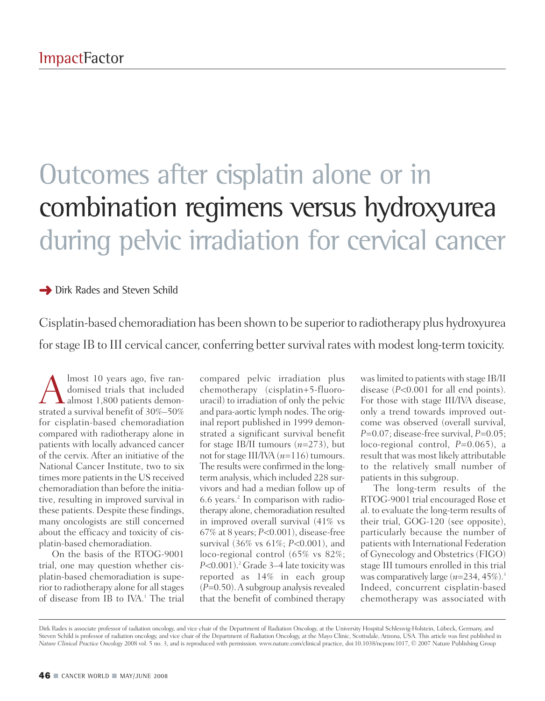## Outcomes after cisplatin alone or in combination regimens versus hydroxyurea during pelvic irradiation for cervical cancer

**→** Dirk Rades and Steven Schild

Cisplatin-based chemoradiation has been shown to be superiorto radiotherapy plus hydroxyurea for stage IB to III cervical cancer, conferring better survival rates with modest long-term toxicity.

 $\sum_{\text{domised trials that included}}^{\text{lmost 10 years ago, five ran-  
domised trials that included  
atmed a survival benefit of 30%–50%$ domised trials that included strated a survival benefit of 30%–50% for cisplatin-based chemoradiation compared with radiotherapy alone in patients with locally advanced cancer of the cervix. After an initiative of the National Cancer Institute, two to six times more patients in the US received chemoradiation than before the initiative, resulting in improved survival in these patients. Despite these findings, many oncologists are still concerned about the efficacy and toxicity of cisplatin-based chemoradiation.

On the basis of the RTOG-9001 trial, one may question whether cisplatin-based chemoradiation is superior to radiotherapy alone for allstages of disease from IB to IVA. <sup>1</sup> The trial

compared pelvic irradiation plus chemotherapy (cisplatin+5-fluorouracil) to irradiation of only the pelvic and para-aortic lymph nodes. The original report published in 1999 demonstrated a significant survival benefit for stage IB/II tumours (*n*=273), but not forstage III/IVA (*n*=116) tumours. The results were confirmed in the longterm analysis, which included 228 survivors and had a median follow up of 6.6 years. <sup>2</sup> In comparison with radiotherapy alone, chemoradiation resulted in improved overall survival (41% vs 67% at 8 years; *P*<0.001), disease-free survival (36% vs 61%; *P*<0.001), and loco-regional control (65% vs 82%; *P*<0.001). <sup>2</sup> Grade 3–4 late toxicity was reported as 14% in each group  $(P=0.50)$ . A subgroup analysis revealed that the benefit of combined therapy

waslimited to patients with stage IB/II disease (*P*<0.001 for all end points). For those with stage III/IVA disease, only a trend towards improved outcome was observed (overall survival, *P*=0.07; disease-free survival, *P*=0.05; loco-regional control, *P*=0.065), a result that was most likely attributable to the relatively small number of patients in this subgroup.

The long-term results of the RTOG-9001 trial encouraged Rose et al. to evaluate the long-term results of their trial, GOG-120 (see opposite), particularly because the number of patients with International Federation of Gynecology and Obstetrics(FIGO) stage III tumours enrolled in this trial was comparatively large (*n*=234, 45%). 3 Indeed, concurrent cisplatin-based chemotherapy was associated with

Dirk Rades is associate professor of radiation oncology, and vice chair of the Department of Radiation Oncology, at the University Hospital Schleswig-Holstein, Lübeck, Germany, and Steven Schild is professor of radiation oncology, and vice chair of the Department of Radiation Oncology, at the Mayo Clinic, Scottsdale, Arizona, USA. This article was first published in *Nature Clinical Practice Oncology* 2008 vol. 5 no. 3, and is reproduced with permission. www.nature.com/clinical practice, doi:10.1038/ncponc1017, © 2007 Nature Publishing Group